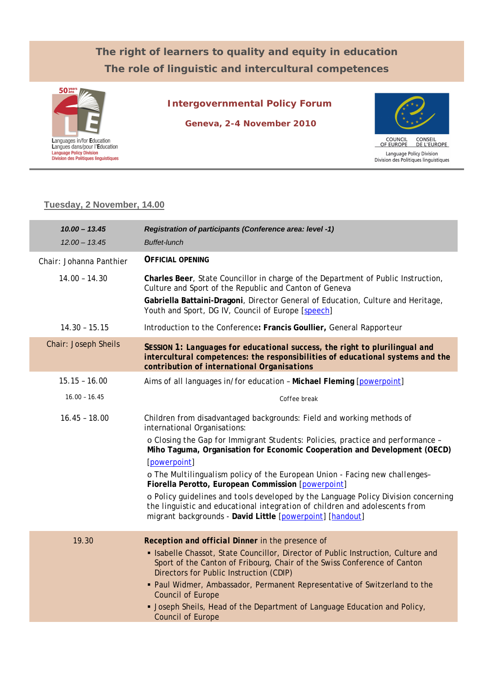## **The right of learners to quality and equity in education The role of linguistic and intercultural competences**



**Intergovernmental Policy Forum**

**Geneva, 2-4 November 2010**



## **Tuesday, 2 November, 14.00**

| $10.00 - 13.45$<br>$12.00 - 13.45$ | Registration of participants (Conference area: level -1)<br><b>Buffet-lunch</b>                                                                                                                                                                                                                                                                                                                                                                                  |
|------------------------------------|------------------------------------------------------------------------------------------------------------------------------------------------------------------------------------------------------------------------------------------------------------------------------------------------------------------------------------------------------------------------------------------------------------------------------------------------------------------|
| Chair: Johanna Panthier            | <b>OFFICIAL OPENING</b>                                                                                                                                                                                                                                                                                                                                                                                                                                          |
| $14.00 - 14.30$                    | Charles Beer, State Councillor in charge of the Department of Public Instruction,<br>Culture and Sport of the Republic and Canton of Geneva<br>Gabriella Battaini-Dragoni, Director General of Education, Culture and Heritage,<br>Youth and Sport, DG IV, Council of Europe [speech]                                                                                                                                                                            |
| $14.30 - 15.15$                    | Introduction to the Conference: Francis Goullier, General Rapporteur                                                                                                                                                                                                                                                                                                                                                                                             |
| Chair: Joseph Sheils               | SESSION 1: Languages for educational success, the right to plurilingual and<br>intercultural competences: the responsibilities of educational systems and the<br>contribution of international Organisations                                                                                                                                                                                                                                                     |
| $15.15 - 16.00$                    | Aims of all languages in/for education - Michael Fleming [powerpoint]                                                                                                                                                                                                                                                                                                                                                                                            |
| $16.00 - 16.45$                    | Coffee break                                                                                                                                                                                                                                                                                                                                                                                                                                                     |
| $16.45 - 18.00$                    | Children from disadvantaged backgrounds: Field and working methods of<br>international Organisations:                                                                                                                                                                                                                                                                                                                                                            |
|                                    | o Closing the Gap for Immigrant Students: Policies, practice and performance -<br>Miho Taguma, Organisation for Economic Cooperation and Development (OECD)<br>[powerpoint]                                                                                                                                                                                                                                                                                      |
|                                    | o The Multilingualism policy of the European Union - Facing new challenges-<br>Fiorella Perotto, European Commission [powerpoint]                                                                                                                                                                                                                                                                                                                                |
|                                    | o Policy guidelines and tools developed by the Language Policy Division concerning<br>the linguistic and educational integration of children and adolescents from<br>migrant backgrounds - David Little [powerpoint] [handout]                                                                                                                                                                                                                                   |
| 19.30                              | Reception and official Dinner in the presence of<br>• Isabelle Chassot, State Councillor, Director of Public Instruction, Culture and<br>Sport of the Canton of Fribourg, Chair of the Swiss Conference of Canton<br>Directors for Public Instruction (CDIP)<br>• Paul Widmer, Ambassador, Permanent Representative of Switzerland to the<br>Council of Europe<br>• Joseph Sheils, Head of the Department of Language Education and Policy,<br>Council of Europe |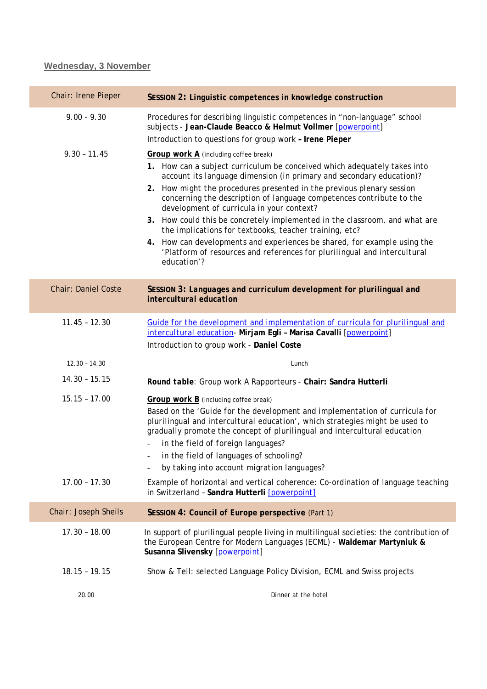## **Wednesday, 3 November**

| Chair: Irene Pieper        | SESSION 2: Linguistic competences in knowledge construction                                                                                                                                                                                                                                                                                                                                                       |
|----------------------------|-------------------------------------------------------------------------------------------------------------------------------------------------------------------------------------------------------------------------------------------------------------------------------------------------------------------------------------------------------------------------------------------------------------------|
| $9.00 - 9.30$              | Procedures for describing linguistic competences in "non-language" school<br>subjects - Jean-Claude Beacco & Helmut Vollmer [powerpoint]                                                                                                                                                                                                                                                                          |
|                            | Introduction to questions for group work - Irene Pieper                                                                                                                                                                                                                                                                                                                                                           |
| $9.30 - 11.45$             | Group work A (including coffee break)<br>1. How can a subject curriculum be conceived which adequately takes into<br>account its language dimension (in primary and secondary education)?                                                                                                                                                                                                                         |
|                            | 2. How might the procedures presented in the previous plenary session<br>concerning the description of language competences contribute to the<br>development of curricula in your context?                                                                                                                                                                                                                        |
|                            | 3. How could this be concretely implemented in the classroom, and what are<br>the implications for textbooks, teacher training, etc?                                                                                                                                                                                                                                                                              |
|                            | How can developments and experiences be shared, for example using the<br>4.<br>'Platform of resources and references for plurilingual and intercultural<br>education'?                                                                                                                                                                                                                                            |
| <b>Chair: Daniel Coste</b> | SESSION 3: Languages and curriculum development for plurilingual and<br>intercultural education                                                                                                                                                                                                                                                                                                                   |
| $11.45 - 12.30$            | Guide for the development and implementation of curricula for plurilingual and<br>intercultural education- Mirjam Egli - Marisa Cavalli [powerpoint]<br>Introduction to group work - Daniel Coste                                                                                                                                                                                                                 |
| $12.30 - 14.30$            | Lunch                                                                                                                                                                                                                                                                                                                                                                                                             |
| $14.30 - 15.15$            | Round table: Group work A Rapporteurs - Chair: Sandra Hutterli                                                                                                                                                                                                                                                                                                                                                    |
| $15.15 - 17.00$            | Group work B (including coffee break)<br>Based on the 'Guide for the development and implementation of curricula for<br>plurilingual and intercultural education', which strategies might be used to<br>gradually promote the concept of plurilingual and intercultural education<br>in the field of foreign languages?<br>in the field of languages of schooling?<br>by taking into account migration languages? |
|                            |                                                                                                                                                                                                                                                                                                                                                                                                                   |
| $17.00 - 17.30$            | Example of horizontal and vertical coherence: Co-ordination of language teaching<br>in Switzerland - Sandra Hutterli [powerpoint]                                                                                                                                                                                                                                                                                 |
| Chair: Joseph Sheils       | SESSION 4: Council of Europe perspective (Part 1)                                                                                                                                                                                                                                                                                                                                                                 |
| $17.30 - 18.00$            | In support of plurilingual people living in multilingual societies: the contribution of<br>the European Centre for Modern Languages (ECML) - Waldemar Martyniuk &<br>Susanna Slivensky [powerpoint]                                                                                                                                                                                                               |
| $18.15 - 19.15$            | Show & Tell: selected Language Policy Division, ECML and Swiss projects                                                                                                                                                                                                                                                                                                                                           |